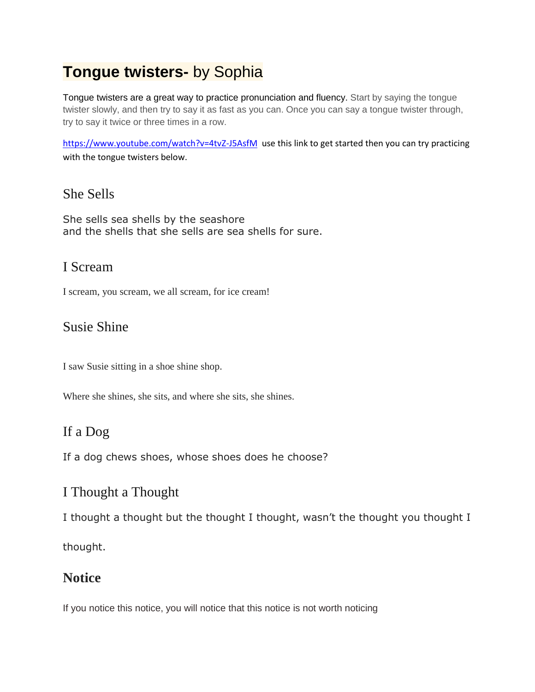# **Tongue twisters-** by Sophia

Tongue twisters are a great way to practice pronunciation and fluency. Start by saying the tongue twister slowly, and then try to say it as fast as you can. Once you can say a tongue twister through, try to say it twice or three times in a row.

<https://www.youtube.com/watch?v=4tvZ-J5AsfM>use this link to get started then you can try practicing with the tongue twisters below.

#### She Sells

She sells sea shells by the seashore and the shells that she sells are sea shells for sure.

#### I Scream

I scream, you scream, we all scream, for ice cream!

#### Susie Shine

I saw Susie sitting in a shoe shine shop.

Where she shines, she sits, and where she sits, she shines.

### If a Dog

If a dog chews shoes, whose shoes does he choose?

#### I Thought a Thought

I thought a thought but the thought I thought, wasn't the thought you thought I

thought.

#### **Notice**

If you notice this notice, you will notice that this notice is not worth noticing